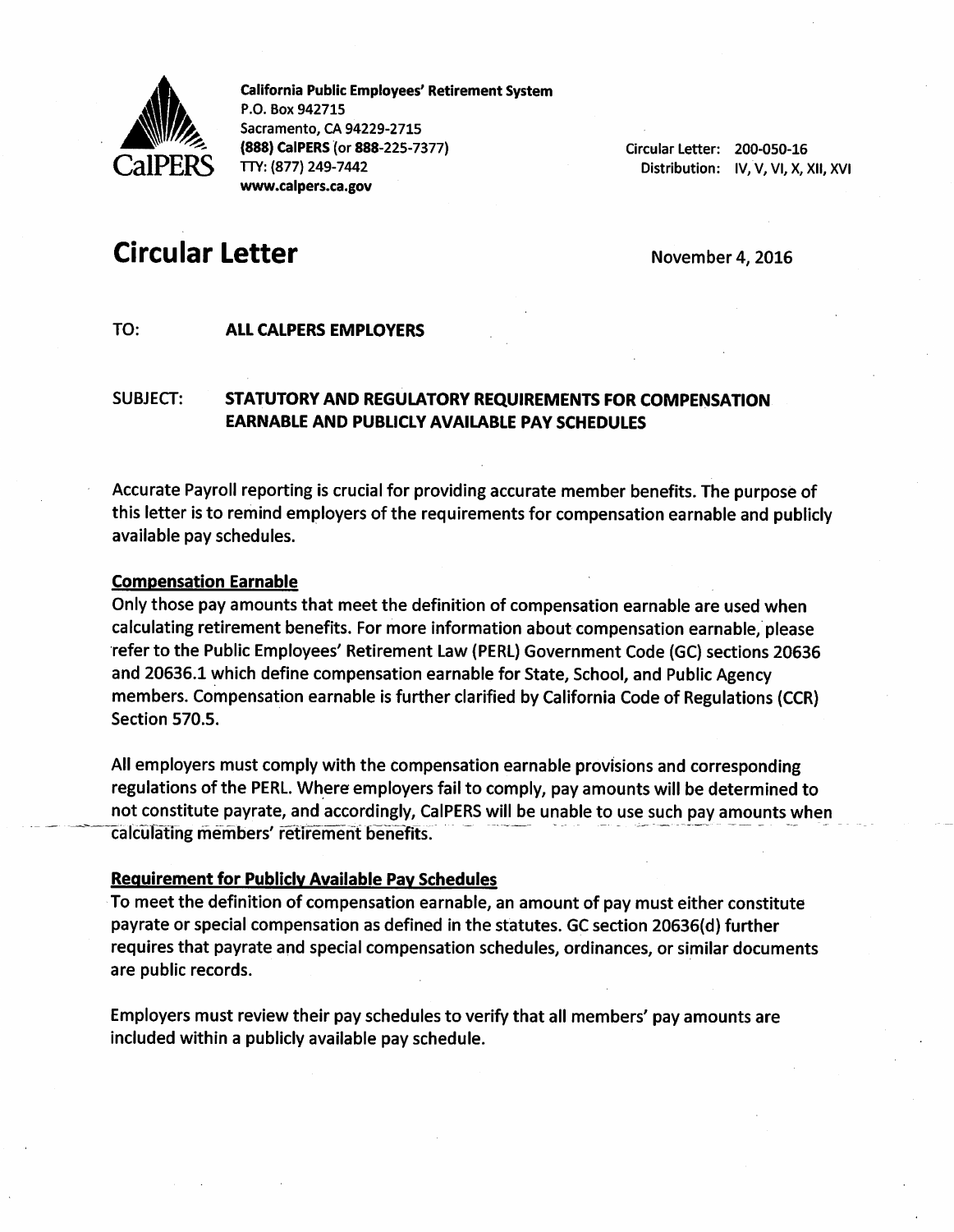

California Public Employees' Retirement System P.O. Box 942715 Sacramento, CA 94229-2715 (888) CalPERS (or 888-225-7377) TTY: (877) 249-7442 www.calpers.ca.gov

Circular Letter: 200-050-16 Distribution: IV, V, VI, X, Xii, XVi

# Circular Letter **Circular Letter Circular Letter Circular Letter**

## TO: **ALL CALPERS EMPLOYERS**

# SUBJECT: STATUTORY AND REGULATORY REQUIREMENTS FOR COMPENSATION EARNABLE AND PUBLICLY AVAILABLE PAY SCHEDULES

Accurate Payroll reporting is crucial for providing accurate member benefits. The purpose of this letter is to remind employers of the requirements for compensation earnable and publicly available pay schedules.

#### **Compensation Earnable**

Only those pay amounts that meet the definition of compensation earnable are used when calculating retirement benefits. For more Information about compensation earnable, please refer to the Public Employees' Retirement Law (PERL) Government Code (GC) sections 20636 and 20636.1 which define compensation earnable for State, School, and Public Agency members. Compensation earnable is further clarified by California Code of Regulations (CCR) Section 570.5.

All employers must comply with the compensation earnable provisions and corresponding regulations of the PERL. Where employers fail to comply, pay amounts will be determined to not constitute payrate, and accordingly, CalPERS will be unable to use such pay amounts when calculating members' retirement benefits.

#### Requirement for Publicly Available Pav Schedules

To meet the definition of compensation earnable, an amount of pay must either constitute payrate or special compensation as defined in the statutes. GC section 20636(d) further requires that payrate and special compensation schedules, ordinances, or similar documents are public records.

Employers must review their pay schedules to verify that all members' pay amounts are included within a publicly available pay schedule.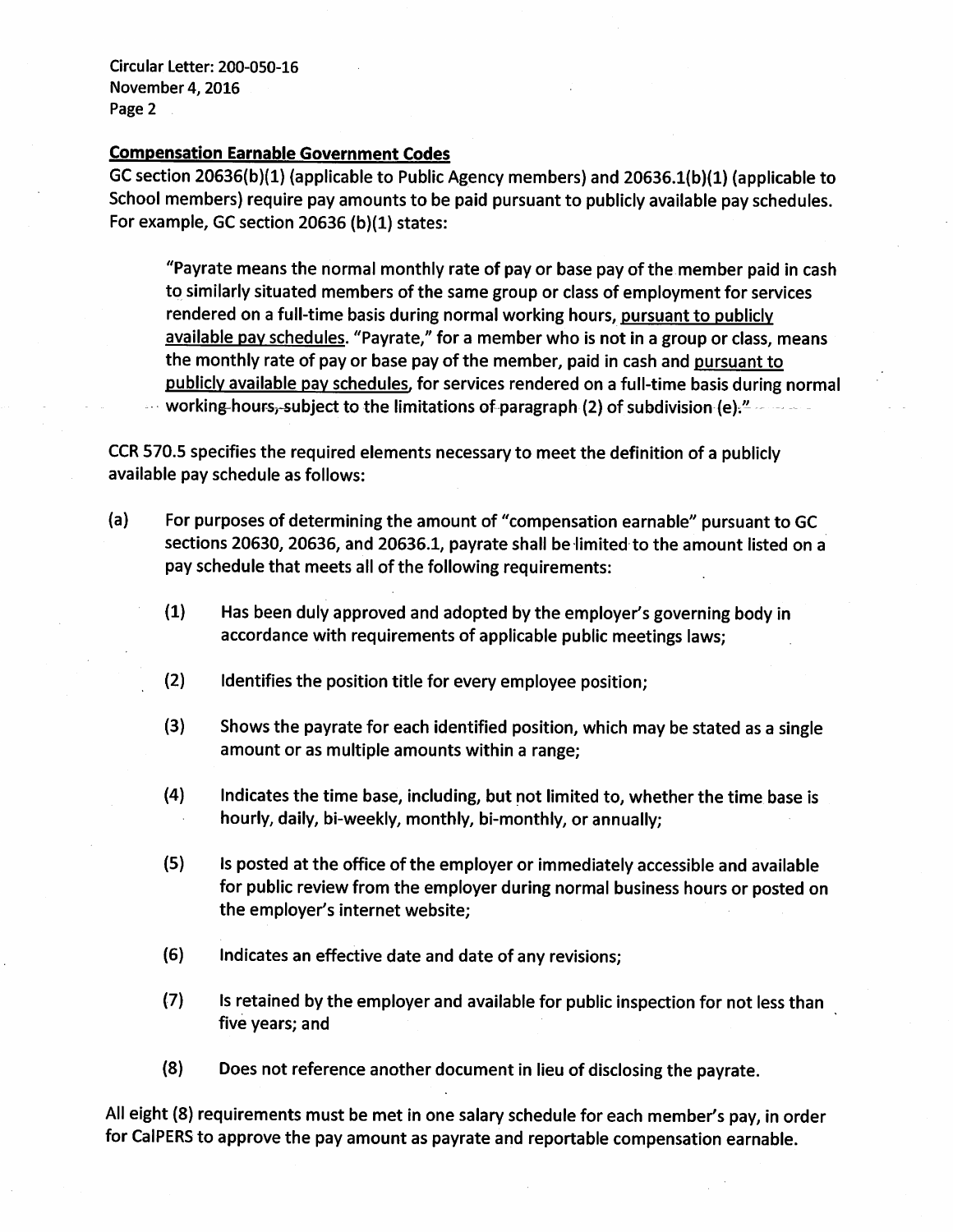Circular Letter: 200-050-16 November 4, 2016 Page 2

## Compensation Earnable Government Codes

GC section 20636(b)(1) (applicable to Public Agency members) and 20636.1(b)(1) (applicable to School members) require pay amounts to be paid pursuant to publicly available pay schedules. For example, GC section 20636 (b)(1) states:

"Payrate means the normal monthly rate of pay or base pay of the member paid in cash to similarly situated members of the same group or class of employment for services rendered on a full-time basis during normal working hours, pursuant to publicly available pay schedules. "Payrate," for a member who is not in a group or class, means the monthly rate of pay or base pay of the member, paid in cash and pursuant to publiciv available pav schedules, for services rendered on a full-time basis during normal working-hours, subject to the limitations of paragraph (2) of subdivision (e). $-$ 

CCR 570.5 specifies the required elements necessary to meet the definition of a publicly available pay schedule as follows:

- (a) For purposes of determining the amount of "compensation earnable" pursuant to GC sections 20630, 20636, and 20636.1, payrate shall be limited to the amount listed on a pay schedule that meets all of the following requirements:
	- (1) Has been duly approved and adopted by the employer's governing body in accordance with requirements of applicable public meetings laws;
	- (2) Identifies the position title for every employee position;
	- (3) Shows the payrate for each identified position, which may be stated as a single amount or as multiple amounts within a range;
	- (4) Indicates the time base, including, but not limited to, whether the time base is hourly, daily, bi-weekly, monthly, bi-monthly, or annually;
	- (5) Is posted at the office of the employer or immediately accessible and available for public review from the employer during normal business hours or posted on the employer's internet website;
	- (6) Indicates an effective date and date of any revisions;
	- (7) Is retained by the employer and available for public inspection for not less than five years; and
	- (8) Does not reference another document in lieu of disclosing the payrate.

All eight (8) requirements must be met in one salary schedule for each member's pay, in order for CalPERS to approve the pay amount as payrate and reportable compensation earnable.